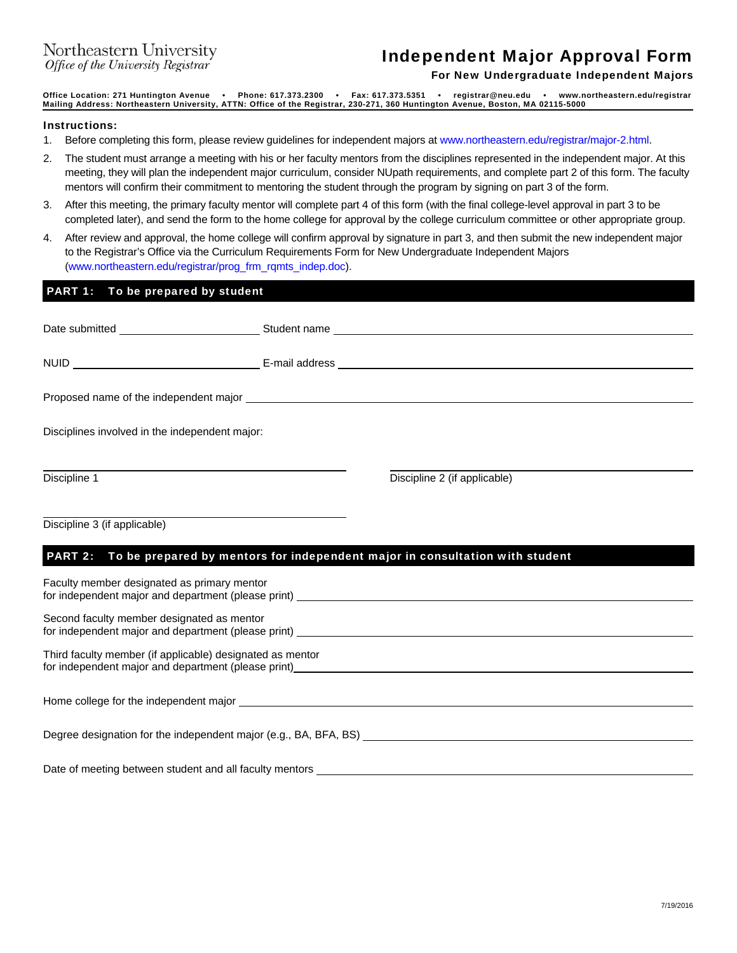## Independent Major Approval Form

For New Undergraduate Independent Majors

**Office Location: 271 Huntington Avenue • Phone: 617.373.2300 • Fax: 617.373.5351 • registrar@neu.edu • www.northeastern.edu/registrar Mailing Address: Northeastern University, ATTN: Office of the Registrar, 230-271, 360 Huntington Avenue, Boston, MA 02115-5000**

## Instructions:

- 1. Before completing this form, please review guidelines for independent majors at www.northeastern.edu/registrar/major-2.html.
- 2. The student must arrange a meeting with his or her faculty mentors from the disciplines represented in the independent major. At this meeting, they will plan the independent major curriculum, consider NUpath requirements, and complete part 2 of this form. The faculty mentors will confirm their commitment to mentoring the student through the program by signing on part 3 of the form.
- 3. After this meeting, the primary faculty mentor will complete part 4 of this form (with the final college-level approval in part 3 to be completed later), and send the form to the home college for approval by the college curriculum committee or other appropriate group.
- 4. After review and approval, the home college will confirm approval by signature in part 3, and then submit the new independent major to the Registrar's Office via the Curriculum Requirements Form for New Undergraduate Independent Majors (www.northeastern.edu/registrar/prog\_frm\_rqmts\_indep.doc).

## PART 1: To be prepared by student Date submitted Student name Student name NUID E-mail address Proposed name of the independent major Disciplines involved in the independent major:  $\overline{a}$ Discipline 1 Discipline 2 (if applicable) l Discipline 3 (if applicable) PART 2: To be prepared by mentors for independent major in consultation with student Faculty member designated as primary mentor for independent major and department (please print) Second faculty member designated as mentor for independent major and department (please print) Third faculty member (if applicable) designated as mentor for independent major and department (please print) Home college for the independent major **example 2008** and 2008 and 2008 and 2008 and 2008 and 2008 and 2008 and 2008 and 2008 and 2008 and 2008 and 2008 and 2008 and 2008 and 2008 and 2008 and 2008 and 2008 and 2008 and 20 Degree designation for the independent major (e.g., BA, BFA, BS) Date of meeting between student and all faculty mentors \_\_\_\_\_\_\_\_\_\_\_\_\_\_\_\_\_\_\_\_\_\_\_\_\_